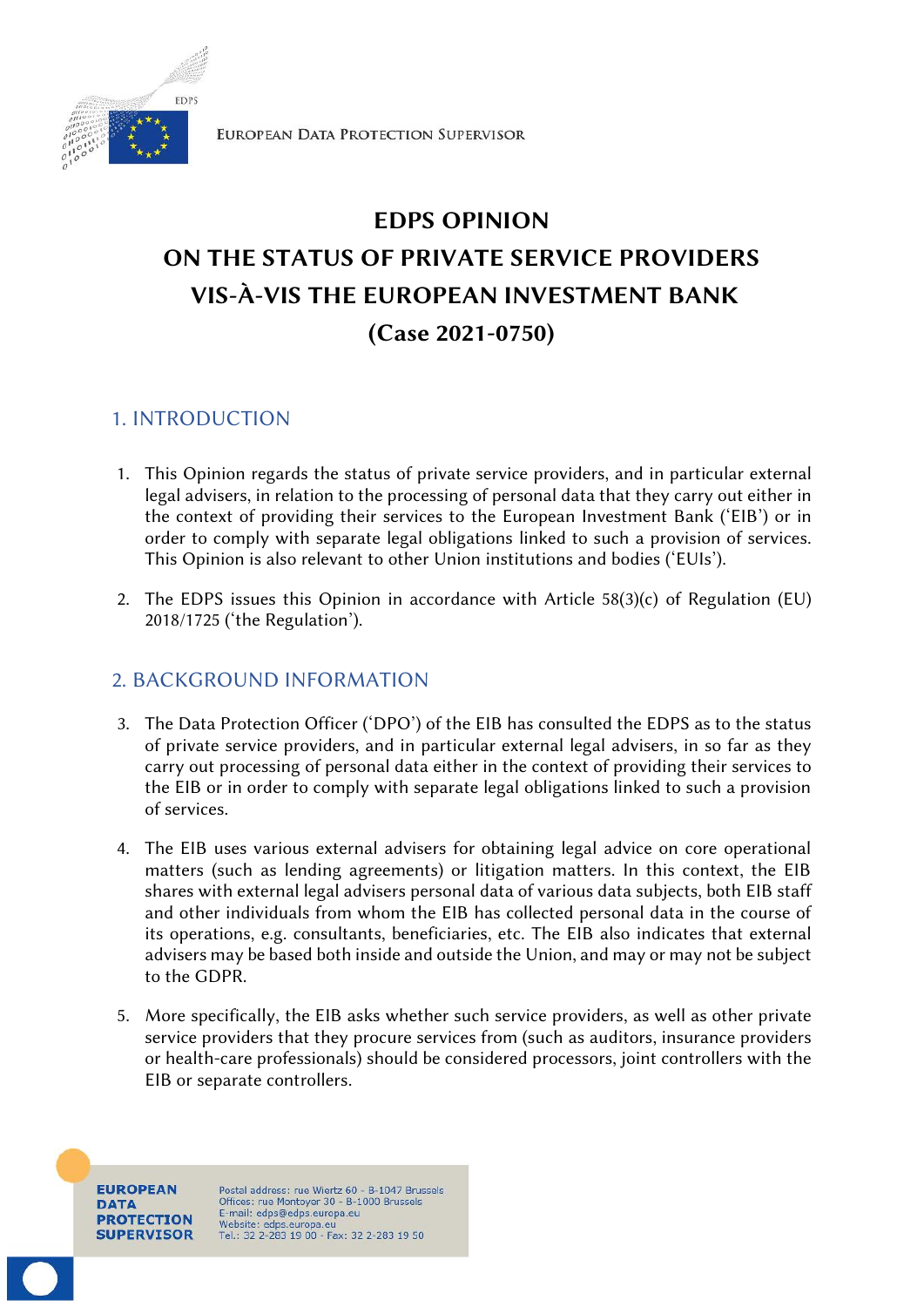

# **EDPS OPINION ON THE STATUS OF PRIVATE SERVICE PROVIDERS VIS-À-VIS THE EUROPEAN INVESTMENT BANK (Case 2021-0750)**

# 1. INTRODUCTION

- 1. This Opinion regards the status of private service providers, and in particular external legal advisers, in relation to the processing of personal data that they carry out either in the context of providing their services to the European Investment Bank ('EIB') or in order to comply with separate legal obligations linked to such a provision of services. This Opinion is also relevant to other Union institutions and bodies ('EUIs').
- 2. The EDPS issues this Opinion in accordance with Article  $58(3)(c)$  of Regulation (EU) 2018/1725 ('the Regulation').

# 2. BACKGROUND INFORMATION

- 3. The Data Protection Officer ('DPO') of the EIB has consulted the EDPS as to the status of private service providers, and in particular external legal advisers, in so far as they carry out processing of personal data either in the context of providing their services to the EIB or in order to comply with separate legal obligations linked to such a provision of services.
- 4. The EIB uses various external advisers for obtaining legal advice on core operational matters (such as lending agreements) or litigation matters. In this context, the EIB shares with external legal advisers personal data of various data subjects, both EIB staff and other individuals from whom the EIB has collected personal data in the course of its operations, e.g. consultants, beneficiaries, etc. The EIB also indicates that external advisers may be based both inside and outside the Union, and may or may not be subject to the GDPR.
- 5. More specifically, the EIB asks whether such service providers, as well as other private service providers that they procure services from (such as auditors, insurance providers or health-care professionals) should be considered processors, joint controllers with the EIB or separate controllers.

**EUROPEAN** DATA **PROTECTION SUPERVISOR** 

Postal address: rue Wiertz 60 - B-1047 Brussels Offices: rue Montoyer 30 - B-1000 Brussels<br>E-mail: edps@edps.europa.eu Website: edps.europa.eu<br>Tel.: 32 2-283 19 00 - Fax: 32 2-283 19 50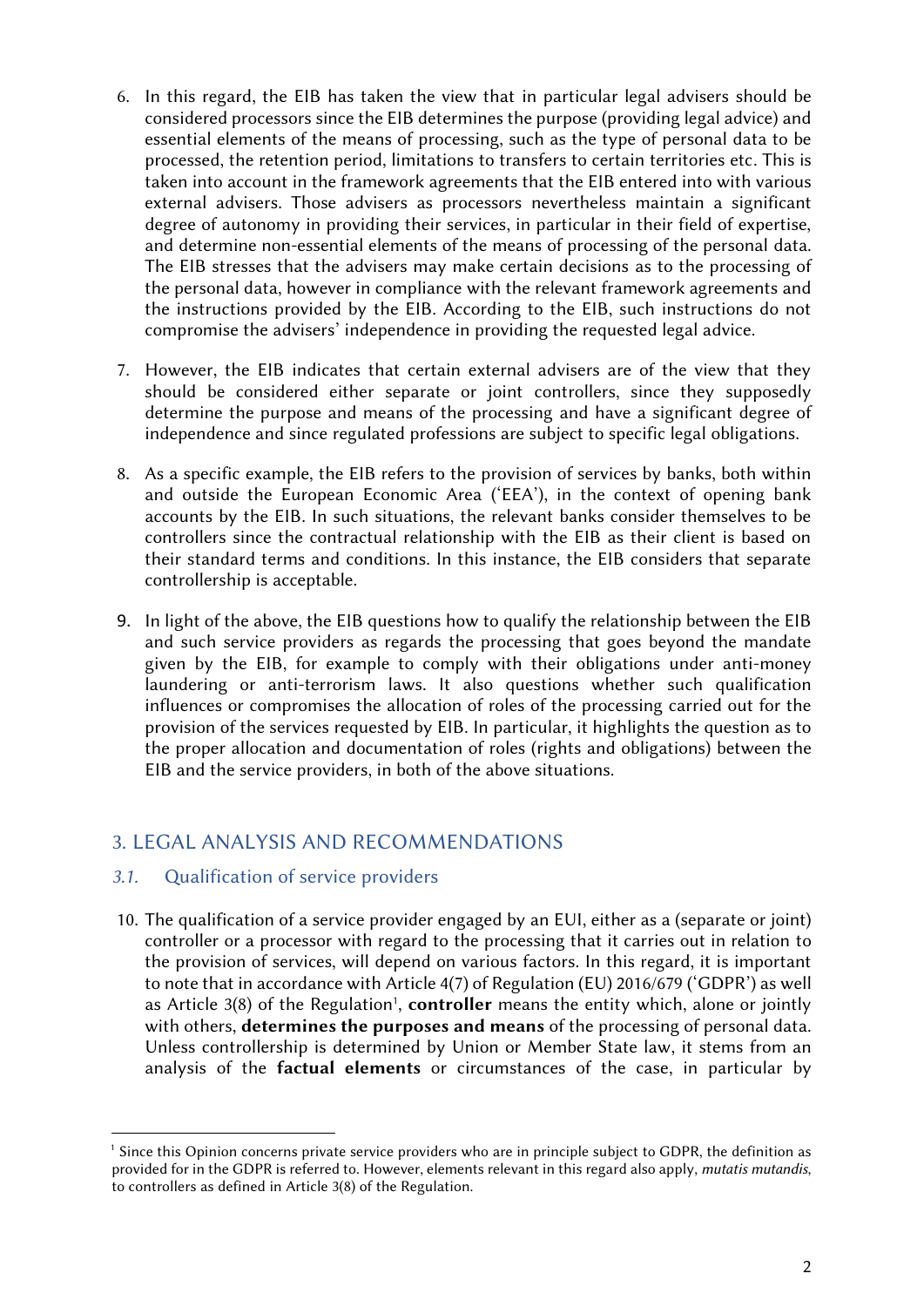- 6. In this regard, the EIB has taken the view that in particular legal advisers should be considered processors since the EIB determines the purpose (providing legal advice) and essential elements of the means of processing, such as the type of personal data to be processed, the retention period, limitations to transfers to certain territories etc. This is taken into account in the framework agreements that the EIB entered into with various external advisers. Those advisers as processors nevertheless maintain a significant degree of autonomy in providing their services, in particular in their field of expertise, and determine non-essential elements of the means of processing of the personal data. The EIB stresses that the advisers may make certain decisions as to the processing of the personal data, however in compliance with the relevant framework agreements and the instructions provided by the EIB. According to the EIB, such instructions do not compromise the advisers' independence in providing the requested legal advice.
- 7. However, the EIB indicates that certain external advisers are of the view that they should be considered either separate or joint controllers, since they supposedly determine the purpose and means of the processing and have a significant degree of independence and since regulated professions are subject to specific legal obligations.
- 8. As a specific example, the EIB refers to the provision of services by banks, both within and outside the European Economic Area ('EEA'), in the context of opening bank accounts by the EIB. In such situations, the relevant banks consider themselves to be controllers since the contractual relationship with the EIB as their client is based on their standard terms and conditions. In this instance, the EIB considers that separate controllership is acceptable.
- 9. In light of the above, the EIB questions how to qualify the relationship between the EIB and such service providers as regards the processing that goes beyond the mandate given by the EIB, for example to comply with their obligations under anti-money laundering or anti-terrorism laws. It also questions whether such qualification influences or compromises the allocation of roles of the processing carried out for the provision of the services requested by EIB. In particular, it highlights the question as to the proper allocation and documentation of roles (rights and obligations) between the EIB and the service providers, in both of the above situations.

# 3. LEGAL ANALYSIS AND RECOMMENDATIONS

## *3.1.* Qualification of service providers

10. The qualification of a service provider engaged by an EUI, either as a (separate or joint) controller or a processor with regard to the processing that it carries out in relation to the provision of services, will depend on various factors. In this regard, it is important to note that in accordance with Article 4(7) of Regulation (EU) 2016/679 ('GDPR') as well as Article 3(8) of the Regulation<sup>1</sup>, **controller** means the entity which, alone or jointly with others, **determines the purposes and means** of the processing of personal data. Unless controllership is determined by Union or Member State law, it stems from an analysis of the **factual elements** or circumstances of the case, in particular by

<sup>&</sup>lt;sup>1</sup> Since this Opinion concerns private service providers who are in principle subject to GDPR, the definition as provided for in the GDPR is referred to. However, elements relevant in this regard also apply, *mutatis mutandis*, to controllers as defined in Article 3(8) of the Regulation.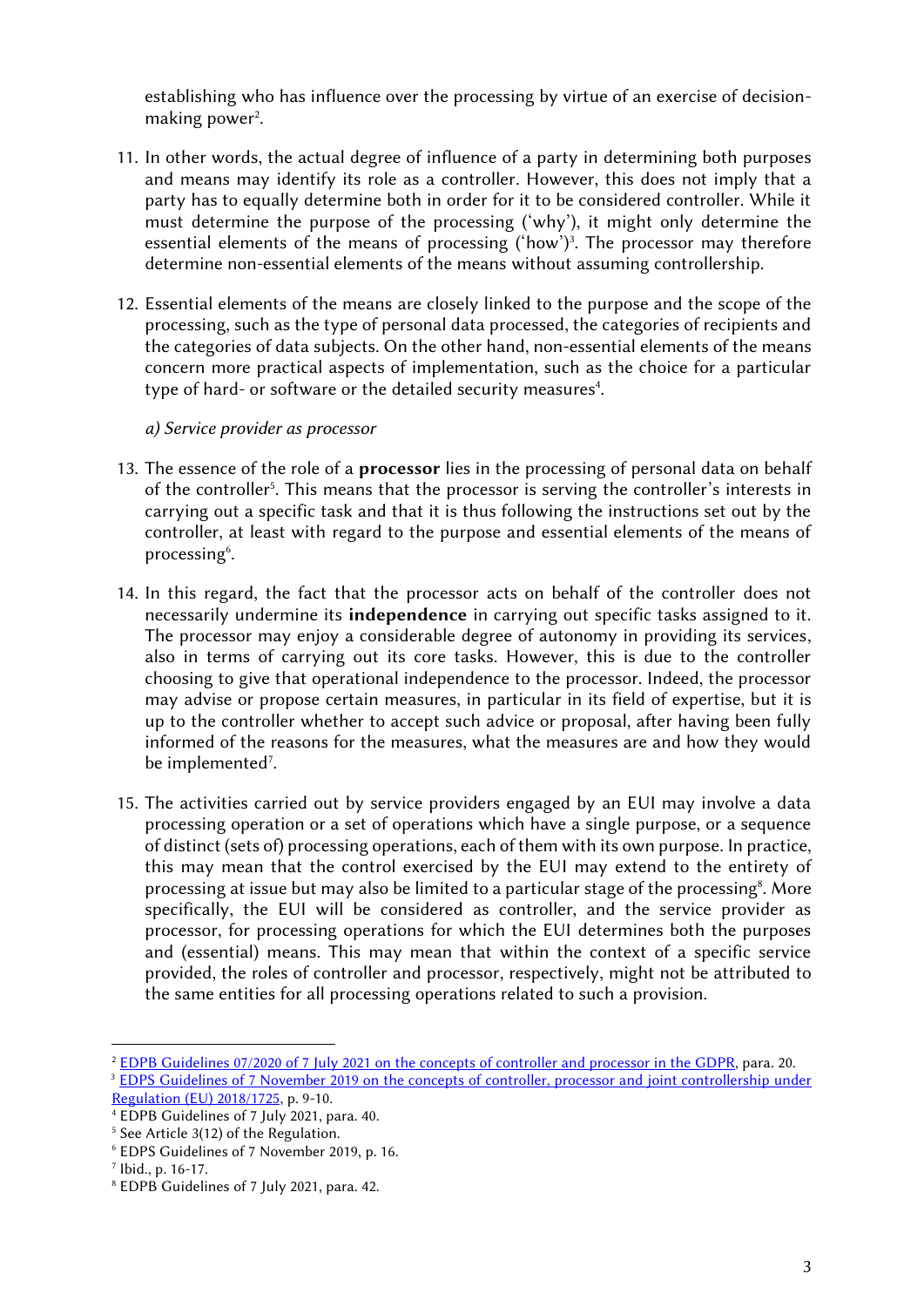establishing who has influence over the processing by virtue of an exercise of decision making power<sup>2</sup>.

- 11. In other words, the actual degree of influence of a party in determining both purposes and means may identify its role as a controller. However, this does not imply that a party has to equally determine both in order for it to be considered controller. While it must determine the purpose of the processing ('why'), it might only determine the essential elements of the means of processing ('how')<sup>3</sup>. The processor may therefore determine non-essential elements of the means without assuming controllership.
- 12. Essential elements of the means are closely linked to the purpose and the scope of the processing, such as the type of personal data processed, the categories of recipients and the categories of data subjects. On the other hand, non-essential elements of the means concern more practical aspects of implementation, such as the choice for a particular type of hard- or software or the detailed security measures<sup>4</sup>.

*a) Service provider as processor*

- 13. The essence of the role of a **processor** lies in the processing of personal data on behalf of the controller<sup>5</sup>. This means that the processor is serving the controller's interests in carrying out a specific task and that it is thus following the instructions set out by the controller, at least with regard to the purpose and essential elements of the means of processing<sup>6</sup>.
- 14. In this regard, the fact that the processor acts on behalf of the controller does not necessarily undermine its **independence** in carrying out specific tasks assigned to it. The processor may enjoy a considerable degree of autonomy in providing its services, also in terms of carrying out its core tasks. However, this is due to the controller choosing to give that operational independence to the processor. Indeed, the processor may advise or propose certain measures, in particular in its field of expertise, but it is up to the controller whether to accept such advice or proposal, after having been fully informed of the reasons for the measures, what the measures are and how they would be implemented<sup>7</sup>.
- 15. The activities carried out by service providers engaged by an EUI may involve a data processing operation or a set of operations which have a single purpose, or a sequence of distinct (sets of) processing operations, each of them with its own purpose. In practice, this may mean that the control exercised by the EUI may extend to the entirety of processing at issue but may also be limited to a particular stage of the processing<sup>8</sup>. More specifically, the EUI will be considered as controller, and the service provider as processor, for processing operations for which the EUI determines both the purposes and (essential) means. This may mean that within the context of a specific service provided, the roles of controller and processor, respectively, might not be attributed to the same entities for all processing operations related to such a provision.

<sup>2</sup> [EDPB Guidelines 07/2020 of 7 July 2021 on the concepts of controller and processor in the GDPR](https://edpb.europa.eu/system/files/2021-07/eppb_guidelines_202007_controllerprocessor_final_en.pdf), para. 20. <sup>3</sup> [EDPS Guidelines of 7 November 2019 on the concepts of controller, processor and](https://edps.europa.eu/sites/default/files/publication/19-11-07_edps_guidelines_on_controller_processor_and_jc_reg_2018_1725_en.pdf) joint controllership under [Regulation \(EU\) 2018/1725](https://edps.europa.eu/sites/default/files/publication/19-11-07_edps_guidelines_on_controller_processor_and_jc_reg_2018_1725_en.pdf), p. 9-10.

<sup>4</sup> EDPB Guidelines of 7 July 2021, para. 40.

<sup>&</sup>lt;sup>5</sup> See Article 3(12) of the Regulation.

<sup>6</sup> EDPS Guidelines of 7 November 2019, p. 16.

<sup>7</sup> Ibid., p. 16-17.

<sup>8</sup> EDPB Guidelines of 7 July 2021, para. 42.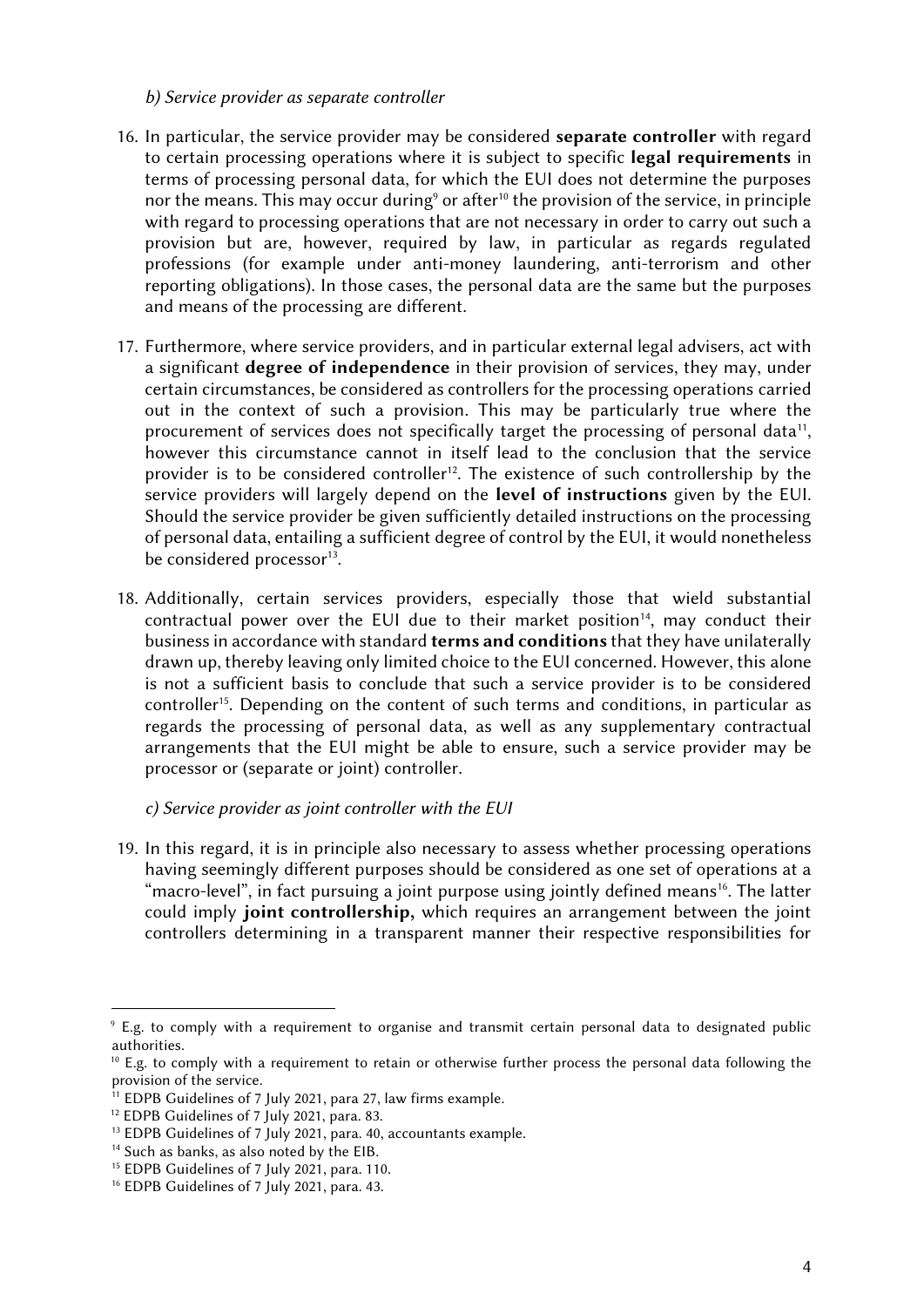#### *b) Service provider as separate controller*

- 16. In particular, the service provider may be considered **separate controller** with regard to certain processing operations where it is subject to specific **legal requirements** in terms of processing personal data, for which the EUI does not determine the purposes nor the means. This may occur during<sup>9</sup> or after<sup>10</sup> the provision of the service, in principle with regard to processing operations that are not necessary in order to carry out such a provision but are, however, required by law, in particular as regards regulated professions (for example under anti-money laundering, anti-terrorism and other reporting obligations). In those cases, the personal data are the same but the purposes and means of the processing are different.
- 17. Furthermore, where service providers, and in particular external legal advisers, act with a significant **degree of independence** in their provision of services, they may, under certain circumstances, be considered as controllers for the processing operations carried out in the context of such a provision. This may be particularly true where the procurement of services does not specifically target the processing of personal data<sup>11</sup>, however this circumstance cannot in itself lead to the conclusion that the service provider is to be considered controller<sup>12</sup>. The existence of such controllership by the service providers will largely depend on the **level of instructions** given by the EUI. Should the service provider be given sufficiently detailed instructions on the processing of personal data, entailing a sufficient degree of control by the EUI, it would nonetheless be considered processor<sup>13</sup>.
- 18. Additionally, certain services providers, especially those that wield substantial contractual power over the EUI due to their market position<sup>14</sup>, may conduct their business in accordance with standard **terms and conditions** that they have unilaterally drawn up, thereby leaving only limited choice to the EUI concerned. However, this alone is not a sufficient basis to conclude that such a service provider is to be considered controller<sup>15</sup>. Depending on the content of such terms and conditions, in particular as regards the processing of personal data, as well as any supplementary contractual arrangements that the EUI might be able to ensure, such a service provider may be processor or (separate or joint) controller.

## *c) Service provider as joint controller with the EUI*

19. In this regard, it is in principle also necessary to assess whether processing operations having seemingly different purposes should be considered as one set of operations at a "macro-level", in fact pursuing a joint purpose using jointly defined means<sup>16</sup>. The latter could imply **joint controllership,** which requires an arrangement between the joint controllers determining in a transparent manner their respective responsibilities for

<sup>9</sup> E.g. to comply with a requirement to organise and transmit certain personal data to designated public authorities.

 $10$  E.g. to comply with a requirement to retain or otherwise further process the personal data following the provision of the service.

 $11$  EDPB Guidelines of 7 July 2021, para 27, law firms example.

<sup>&</sup>lt;sup>12</sup> EDPB Guidelines of 7 July 2021, para. 83.

<sup>&</sup>lt;sup>13</sup> EDPB Guidelines of 7 July 2021, para. 40, accountants example.

<sup>&</sup>lt;sup>14</sup> Such as banks, as also noted by the EIB.

<sup>&</sup>lt;sup>15</sup> EDPB Guidelines of 7 July 2021, para. 110.

<sup>&</sup>lt;sup>16</sup> EDPB Guidelines of 7 July 2021, para. 43.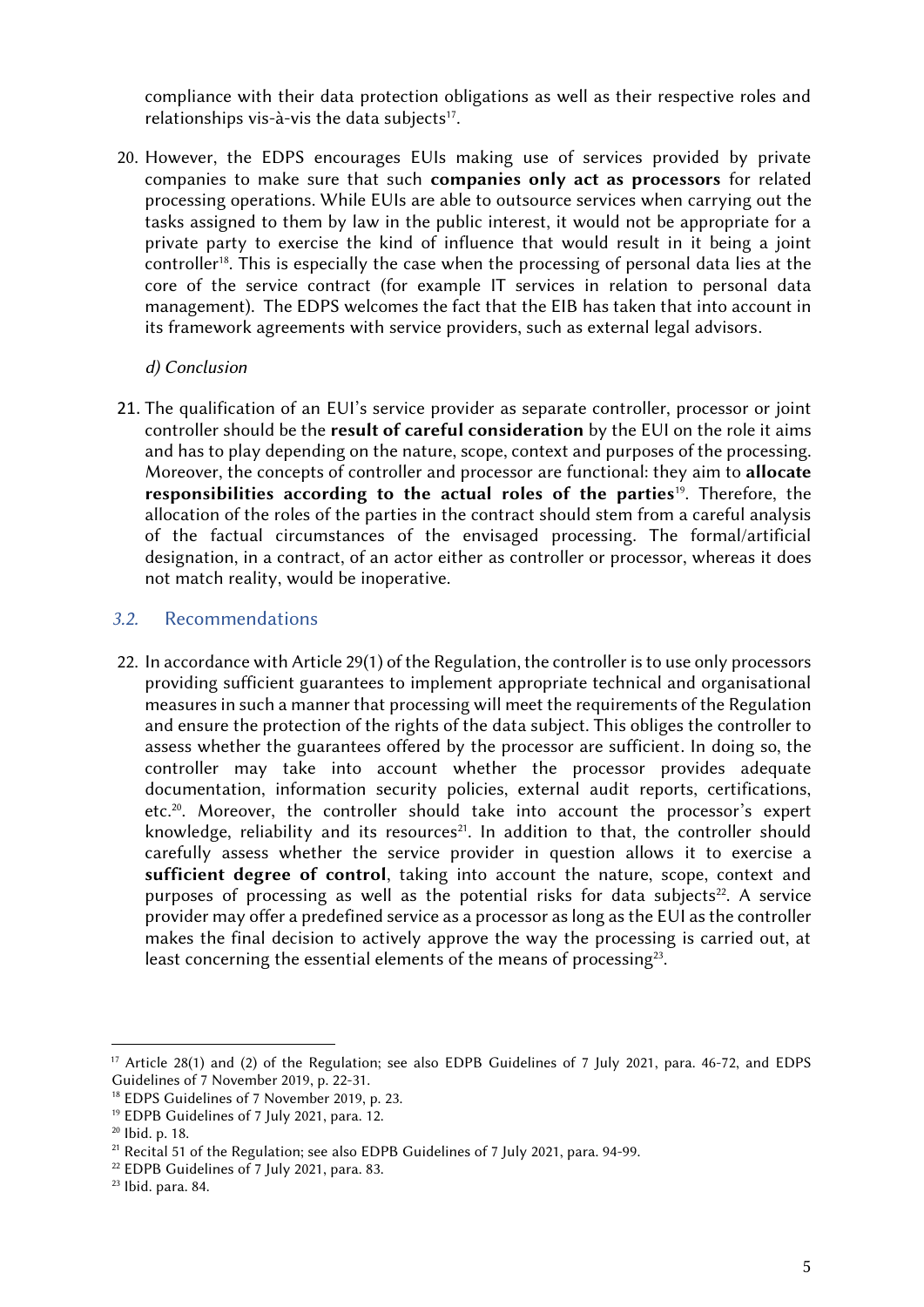compliance with their data protection obligations as well as their respective roles and relationships vis-à-vis the data subjects<sup>17</sup>.

20. However, the EDPS encourages EUIs making use of services provided by private companies to make sure that such **companies only act as processors** for related processing operations. While EUIs are able to outsource services when carrying out the tasks assigned to them by law in the public interest, it would not be appropriate for a private party to exercise the kind of influence that would result in it being a joint controller<sup>18</sup>. This is especially the case when the processing of personal data lies at the core of the service contract (for example IT services in relation to personal data management). The EDPS welcomes the fact that the EIB has taken that into account in its framework agreements with service providers, such as external legal advisors.

#### *d) Conclusion*

21. The qualification of an EUI's service provider as separate controller, processor or joint controller should be the **result of careful consideration** by the EUI on the role it aims and has to play depending on the nature, scope, context and purposes of the processing. Moreover, the concepts of controller and processor are functional: they aim to **allocate responsibilities according to the actual roles of the parties**<sup>19</sup> . Therefore, the allocation of the roles of the parties in the contract should stem from a careful analysis of the factual circumstances of the envisaged processing. The formal/artificial designation, in a contract, of an actor either as controller or processor, whereas it does not match reality, would be inoperative.

#### *3.2.* Recommendations

22. In accordance with Article 29(1) of the Regulation, the controller is to use only processors providing sufficient guarantees to implement appropriate technical and organisational measures in such a manner that processing will meet the requirements of the Regulation and ensure the protection of the rights of the data subject. This obliges the controller to assess whether the guarantees offered by the processor are sufficient. In doing so, the controller may take into account whether the processor provides adequate documentation, information security policies, external audit reports, certifications, etc.<sup>20</sup> . Moreover, the controller should take into account the processor's expert knowledge, reliability and its resources<sup>21</sup>. In addition to that, the controller should carefully assess whether the service provider in question allows it to exercise a **sufficient degree of control**, taking into account the nature, scope, context and purposes of processing as well as the potential risks for data subjects<sup>22</sup>. A service provider may offer a predefined service as a processor as long as the EUI as the controller makes the final decision to actively approve the way the processing is carried out, at least concerning the essential elements of the means of processing<sup>23</sup>.

<sup>17</sup> Article 28(1) and (2) of the Regulation; see also EDPB Guidelines of 7 July 2021, para. 46-72, and EDPS Guidelines of 7 November 2019, p. 22-31.

<sup>&</sup>lt;sup>18</sup> EDPS Guidelines of 7 November 2019, p. 23.

<sup>19</sup> EDPB Guidelines of 7 July 2021, para. 12.

<sup>20</sup> Ibid. p. 18.

<sup>&</sup>lt;sup>21</sup> Recital 51 of the Regulation; see also EDPB Guidelines of 7 July 2021, para. 94-99.

<sup>22</sup> EDPB Guidelines of 7 July 2021, para. 83.

<sup>23</sup> Ibid. para. 84.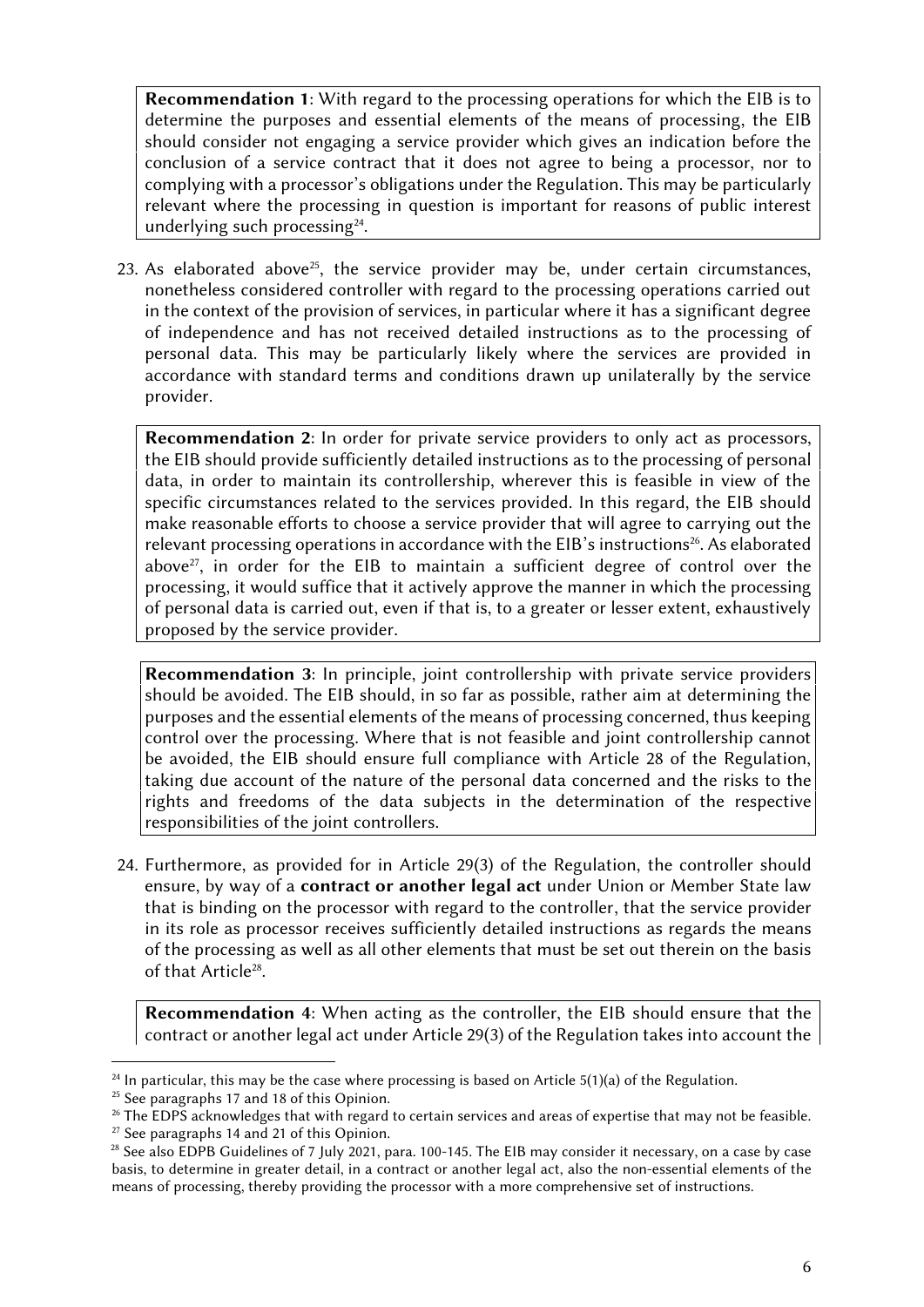**Recommendation 1**: With regard to the processing operations for which the EIB is to determine the purposes and essential elements of the means of processing, the EIB should consider not engaging a service provider which gives an indication before the conclusion of a service contract that it does not agree to being a processor, nor to complying with a processor's obligations under the Regulation. This may be particularly relevant where the processing in question is important for reasons of public interest underlying such processing<sup>24</sup>.

23. As elaborated above<sup>25</sup>, the service provider may be, under certain circumstances, nonetheless considered controller with regard to the processing operations carried out in the context of the provision of services, in particular where it has a significant degree of independence and has not received detailed instructions as to the processing of personal data. This may be particularly likely where the services are provided in accordance with standard terms and conditions drawn up unilaterally by the service provider.

**Recommendation 2**: In order for private service providers to only act as processors, the EIB should provide sufficiently detailed instructions as to the processing of personal data, in order to maintain its controllership, wherever this is feasible in view of the specific circumstances related to the services provided. In this regard, the EIB should make reasonable efforts to choose a service provider that will agree to carrying out the relevant processing operations in accordance with the EIB's instructions<sup>26</sup>. As elaborated above $27$ , in order for the EIB to maintain a sufficient degree of control over the processing, it would suffice that it actively approve the manner in which the processing of personal data is carried out, even if that is, to a greater or lesser extent, exhaustively proposed by the service provider.

**Recommendation 3**: In principle, joint controllership with private service providers should be avoided. The EIB should, in so far as possible, rather aim at determining the purposes and the essential elements of the means of processing concerned, thus keeping control over the processing. Where that is not feasible and joint controllership cannot be avoided, the EIB should ensure full compliance with Article 28 of the Regulation, taking due account of the nature of the personal data concerned and the risks to the rights and freedoms of the data subjects in the determination of the respective responsibilities of the joint controllers.

24. Furthermore, as provided for in Article 29(3) of the Regulation, the controller should ensure, by way of a **contract or another legal act** under Union or Member State law that is binding on the processor with regard to the controller, that the service provider in its role as processor receives sufficiently detailed instructions as regards the means of the processing as well as all other elements that must be set out therein on the basis of that Article<sup>28</sup>.

**Recommendation 4**: When acting as the controller, the EIB should ensure that the contract or another legal act under Article 29(3) of the Regulation takes into account the

<sup>&</sup>lt;sup>24</sup> In particular, this may be the case where processing is based on Article  $5(1)(a)$  of the Regulation.

 $25$  See paragraphs 17 and 18 of this Opinion.

 $26$  The EDPS acknowledges that with regard to certain services and areas of expertise that may not be feasible.

 $27$  See paragraphs 14 and 21 of this Opinion.

 $28$  See also EDPB Guidelines of 7 July 2021, para. 100-145. The EIB may consider it necessary, on a case by case basis, to determine in greater detail, in a contract or another legal act, also the non-essential elements of the means of processing, thereby providing the processor with a more comprehensive set of instructions.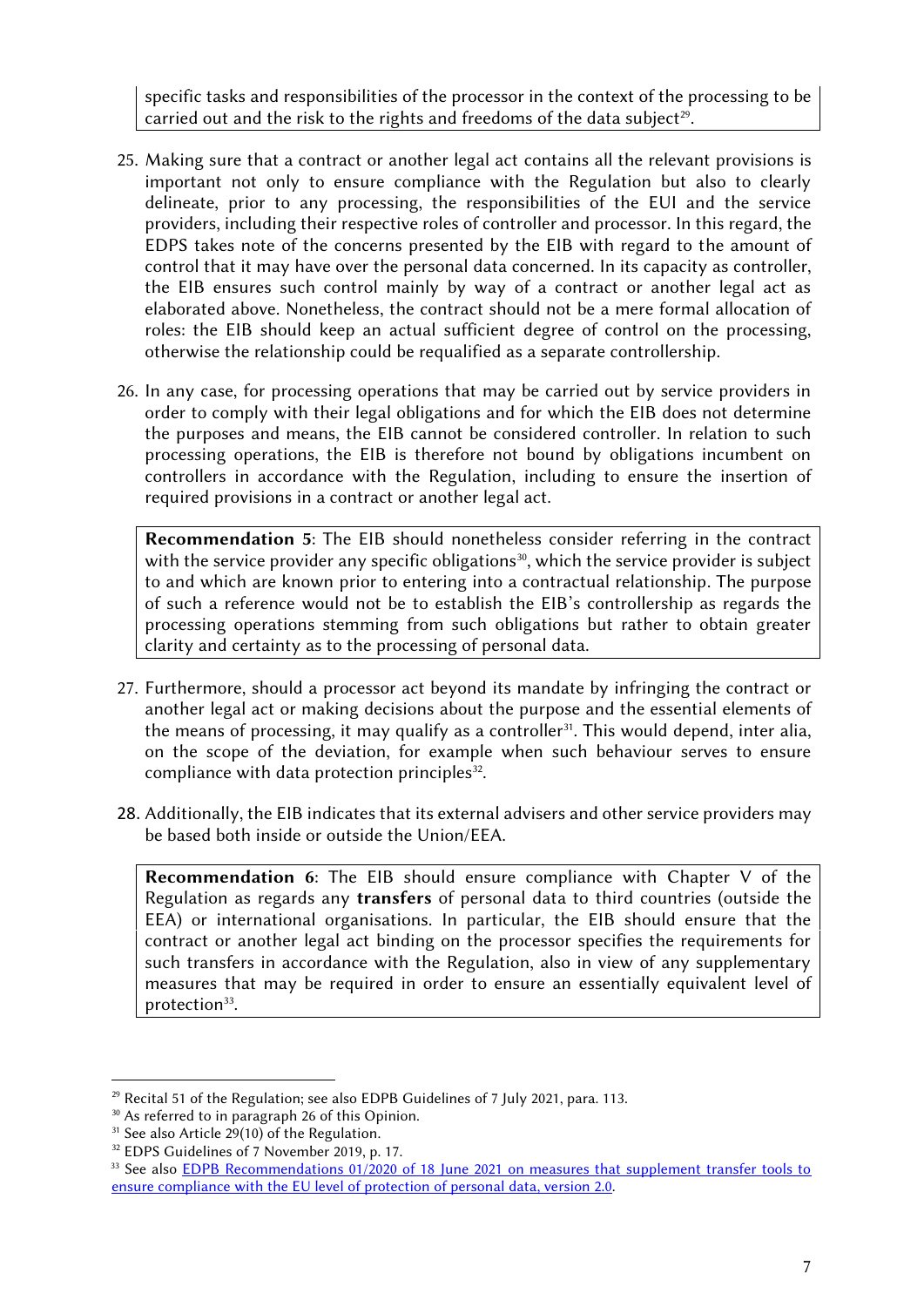specific tasks and responsibilities of the processor in the context of the processing to be carried out and the risk to the rights and freedoms of the data subject $^{29}$ .

- 25. Making sure that a contract or another legal act contains all the relevant provisions is important not only to ensure compliance with the Regulation but also to clearly delineate, prior to any processing, the responsibilities of the EUI and the service providers, including their respective roles of controller and processor. In this regard, the EDPS takes note of the concerns presented by the EIB with regard to the amount of control that it may have over the personal data concerned. In its capacity as controller, the EIB ensures such control mainly by way of a contract or another legal act as elaborated above. Nonetheless, the contract should not be a mere formal allocation of roles: the EIB should keep an actual sufficient degree of control on the processing, otherwise the relationship could be requalified as a separate controllership.
- 26. In any case, for processing operations that may be carried out by service providers in order to comply with their legal obligations and for which the EIB does not determine the purposes and means, the EIB cannot be considered controller. In relation to such processing operations, the EIB is therefore not bound by obligations incumbent on controllers in accordance with the Regulation, including to ensure the insertion of required provisions in a contract or another legal act.

**Recommendation 5**: The EIB should nonetheless consider referring in the contract with the service provider any specific obligations $^{\text{30}},$  which the service provider is subject  $\,|\,$ to and which are known prior to entering into a contractual relationship. The purpose of such a reference would not be to establish the EIB's controllership as regards the processing operations stemming from such obligations but rather to obtain greater clarity and certainty as to the processing of personal data.

- 27. Furthermore, should a processor act beyond its mandate by infringing the contract or another legal act or making decisions about the purpose and the essential elements of the means of processing, it may qualify as a controller<sup>31</sup>. This would depend, inter alia, on the scope of the deviation, for example when such behaviour serves to ensure compliance with data protection principles<sup>32</sup>.
- 28. Additionally, the EIB indicates that its external advisers and other service providers may be based both inside or outside the Union/EEA.

**Recommendation 6**: The EIB should ensure compliance with Chapter V of the Regulation as regards any **transfers** of personal data to third countries (outside the EEA) or international organisations. In particular, the EIB should ensure that the contract or another legal act binding on the processor specifies the requirements for such transfers in accordance with the Regulation, also in view of any supplementary measures that may be required in order to ensure an essentially equivalent level of protection<sup>33</sup>.

 $29$  Recital 51 of the Regulation; see also EDPB Guidelines of 7 July 2021, para. 113.

<sup>&</sup>lt;sup>30</sup> As referred to in paragraph 26 of this Opinion.

 $31$  See also Article 29(10) of the Regulation.

<sup>&</sup>lt;sup>32</sup> EDPS Guidelines of 7 November 2019, p. 17.

<sup>33</sup> See also EDPB Recommendations [01/2020 of 18 June 2021 on measures that supplement transfer tools to](https://edpb.europa.eu/system/files/2021-06/edpb_recommendations_202001vo.2.0_supplementarymeasurestransferstools_en.pdf) [ensure compliance with the EU level of protection of personal data, version 2.0](https://edpb.europa.eu/system/files/2021-06/edpb_recommendations_202001vo.2.0_supplementarymeasurestransferstools_en.pdf).